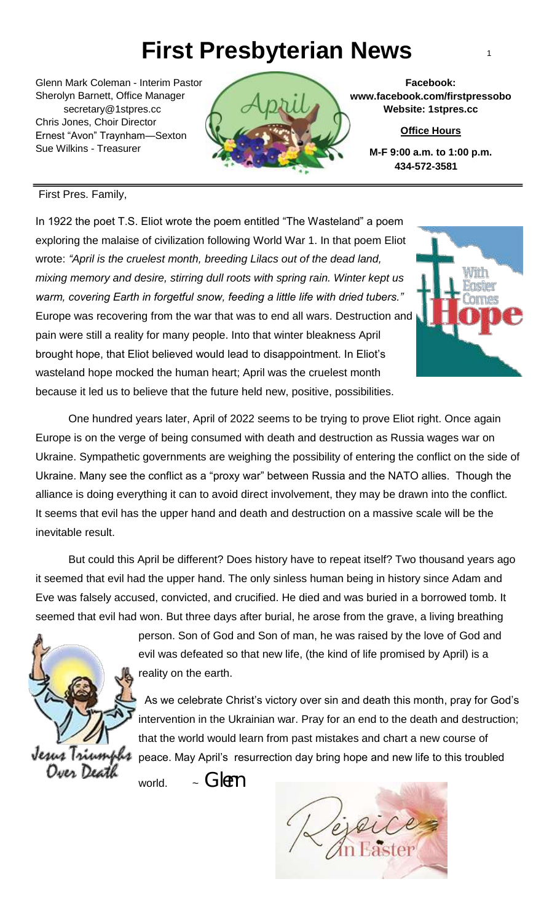## **First Presbyterian News** <sup>1</sup>

Glenn Mark Coleman - Interim Pastor Sherolyn Barnett, Office Manager secretary@1stpres.cc Chris Jones, Choir Director Ernest "Avon" Traynham—Sexton Sue Wilkins - Treasurer



**Facebook: www.facebook.com/firstpressobo Website: 1stpres.cc**

**Office Hours**

**M-F 9:00 a.m. to 1:00 p.m. 434-572-3581**

#### First Pres. Family,

In 1922 the poet T.S. Eliot wrote the poem entitled "The Wasteland" a poem exploring the malaise of civilization following World War 1. In that poem Eliot wrote: *"April is the cruelest month, breeding Lilacs out of the dead land, mixing memory and desire, stirring dull roots with spring rain. Winter kept us warm, covering Earth in forgetful snow, feeding a little life with dried tubers."*  Europe was recovering from the war that was to end all wars. Destruction and pain were still a reality for many people. Into that winter bleakness April brought hope, that Eliot believed would lead to disappointment. In Eliot's wasteland hope mocked the human heart; April was the cruelest month because it led us to believe that the future held new, positive, possibilities.

Ī Ukraine. Sympathetic governments are weighing the possibility of entering the conflict on the side of One hundred years later, April of 2022 seems to be trying to prove Eliot right. Once again Europe is on the verge of being consumed with death and destruction as Russia wages war on Ukraine. Many see the conflict as a "proxy war" between Russia and the NATO allies. Though the alliance is doing everything it can to avoid direct involvement, they may be drawn into the conflict. It seems that evil has the upper hand and death and destruction on a massive scale will be the inevitable result.

 $\overline{a}$ But could this April be different? Does history have to repeat itself? Two thousand years ago it seemed that evil had the upper hand. The only sinless human being in history since Adam and Eve was falsely accused, convicted, and crucified. He died and was buried in a borrowed tomb. It seemed that evil had won. But three days after burial, he arose from the grave, a living breathing



person. Son of God and Son of man, he was raised by the love of God and evil was defeated so that new life, (the kind of life promised by April) is a reality on the earth.

 As we celebrate Christ's victory over sin and death this month, pray for God's intervention in the Ukrainian war. Pray for an end to the death and destruction; that the world would learn from past mistakes and chart a new course of peace. May April's resurrection day bring hope and new life to this troubled

world.  $\sim$  Glenn



٦es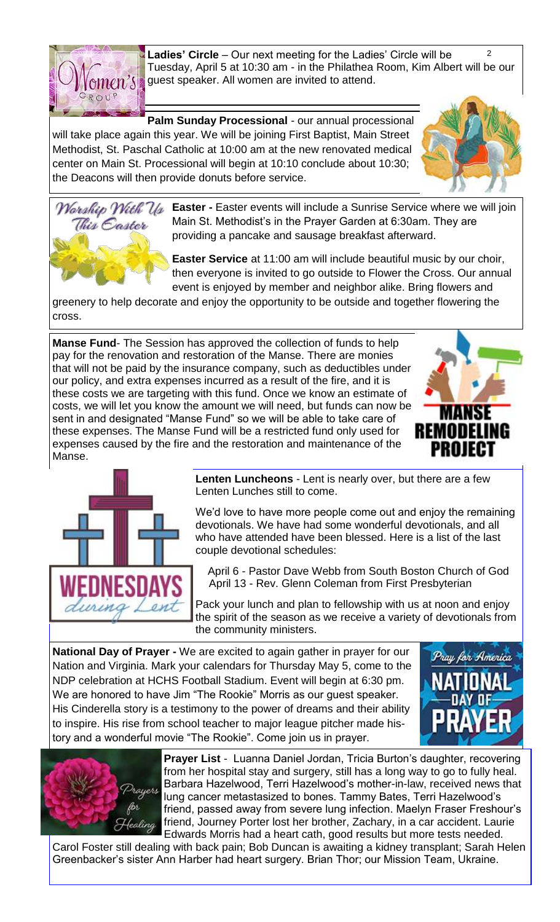

 $\overline{2}$ **Ladies' Circle** – Our next meeting for the Ladies' Circle will be Tuesday, April 5 at 10:30 am - in the Philathea Room, Kim Albert will be our guest speaker. All women are invited to attend.

**Palm Sunday Processional** - our annual processional will take place again this year. We will be joining First Baptist, Main Street Methodist, St. Paschal Catholic at 10:00 am at the new renovated medical center on Main St. Processional will begin at 10:10 conclude about 10:30; the Deacons will then provide donuts before service.





**Easter -** Easter events will include a Sunrise Service where we will join Main St. Methodist's in the Prayer Garden at 6:30am. They are providing a pancake and sausage breakfast afterward.

**Easter Service** at 11:00 am will include beautiful music by our choir, then everyone is invited to go outside to Flower the Cross. Our annual event is enjoyed by member and neighbor alike. Bring flowers and

greenery to help decorate and enjoy the opportunity to be outside and together flowering the cross.

**Manse Fund**- The Session has approved the collection of funds to help pay for the renovation and restoration of the Manse. There are monies that will not be paid by the insurance company, such as deductibles under our policy, and extra expenses incurred as a result of the fire, and it is these costs we are targeting with this fund. Once we know an estimate of costs, we will let you know the amount we will need, but funds can now be sent in and designated "Manse Fund" so we will be able to take care of these expenses. The Manse Fund will be a restricted fund only used for expenses caused by the fire and the restoration and maintenance of the Manse.





**Lenten Luncheons** - Lent is nearly over, but there are a few Lenten Lunches still to come.

We'd love to have more people come out and enjoy the remaining devotionals. We have had some wonderful devotionals, and all who have attended have been blessed. Here is a list of the last couple devotional schedules:

 April 6 - Pastor Dave Webb from South Boston Church of God April 13 - Rev. Glenn Coleman from First Presbyterian

Pack your lunch and plan to fellowship with us at noon and enjoy the spirit of the season as we receive a variety of devotionals from the community ministers.

**National Day of Prayer -** We are excited to again gather in prayer for our Nation and Virginia. Mark your calendars for Thursday May 5, come to the NDP celebration at HCHS Football Stadium. Event will begin at 6:30 pm. We are honored to have Jim "The Rookie" Morris as our guest speaker. His Cinderella story is a testimony to the power of dreams and their ability to inspire. His rise from school teacher to major league pitcher made history and a wonderful movie "The Rookie". Come join us in prayer.





**Prayer List** - Luanna Daniel Jordan, Tricia Burton's daughter, recovering from her hospital stay and surgery, still has a long way to go to fully heal. Barbara Hazelwood, Terri Hazelwood's mother-in-law, received news that lung cancer metastasized to bones. Tammy Bates, Terri Hazelwood's friend, passed away from severe lung infection. Maelyn Fraser Freshour's friend, Journey Porter lost her brother, Zachary, in a car accident. Laurie Edwards Morris had a heart cath, good results but more tests needed.

Carol Foster still dealing with back pain; Bob Duncan is awaiting a kidney transplant; Sarah Helen Greenbacker's sister Ann Harber had heart surgery. Brian Thor; our Mission Team, Ukraine.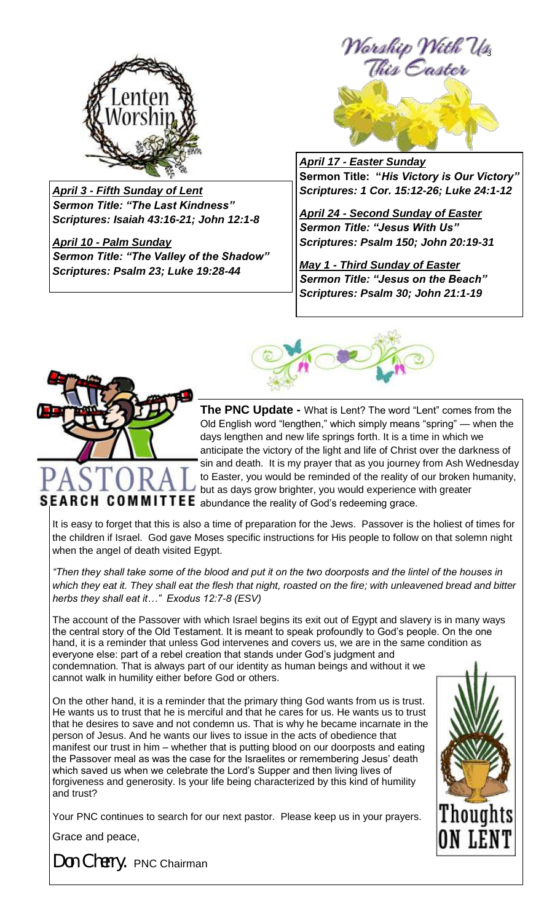

*April 3 - Fifth Sunday of Lent Sermon Title: "The Last Kindness" Scriptures: Isaiah 43:16-21; John 12:1-8*

*April 10 - Palm Sunday Sermon Title: "The Valley of the Shadow" Scriptures: Psalm 23; Luke 19:28-44*



*April 17 - Easter Sunday* **Sermon Title: "***His Victory is Our Victory" Scriptures: 1 Cor. 15:12-26; Luke 24:1-12*

*April 24 - Second Sunday of Easter Sermon Title: "Jesus With Us" Scriptures: Psalm 150; John 20:19-31*

*May 1 - Third Sunday of Easter Sermon Title: "Jesus on the Beach" Scriptures: Psalm 30; John 21:1-19*





**The PNC Update -** What is Lent? The word "Lent" comes from the Old English word "lengthen," which simply means "spring" — when the days lengthen and new life springs forth. It is a time in which we anticipate the victory of the light and life of Christ over the darkness of sin and death. It is my prayer that as you journey from Ash Wednesday to Easter, you would be reminded of the reality of our broken humanity, but as days grow brighter, you would experience with greater SEARCH COMMITTEE abundance the reality of God's redeeming grace.

It is easy to forget that this is also a time of preparation for the Jews. Passover is the holiest of times for the children if Israel. God gave Moses specific instructions for His people to follow on that solemn night when the angel of death visited Egypt.

*"Then they shall take some of the blood and put it on the two doorposts and the lintel of the houses in which they eat it. They shall eat the flesh that night, roasted on the fire; with unleavened bread and bitter herbs they shall eat it…" Exodus 12:7-8 (ESV)*

The account of the Passover with which Israel begins its exit out of Egypt and slavery is in many ways the central story of the Old Testament. It is meant to speak profoundly to God's people. On the one hand, it is a reminder that unless God intervenes and covers us, we are in the same condition as everyone else: part of a rebel creation that stands under God's judgment and condemnation. That is always part of our identity as human beings and without it we cannot walk in humility either before God or others.

On the other hand, it is a reminder that the primary thing God wants from us is trust. He wants us to trust that he is merciful and that he cares for us. He wants us to trust that he desires to save and not condemn us. That is why he became incarnate in the person of Jesus. And he wants our lives to issue in the acts of obedience that manifest our trust in him – whether that is putting blood on our doorposts and eating the Passover meal as was the case for the Israelites or remembering Jesus' death which saved us when we celebrate the Lord's Supper and then living lives of forgiveness and generosity. Is your life being characterized by this kind of humility and trust?

Your PNC continues to search for our next pastor. Please keep us in your prayers.

Grace and peace,



*Don Cherry.* PNC Chairman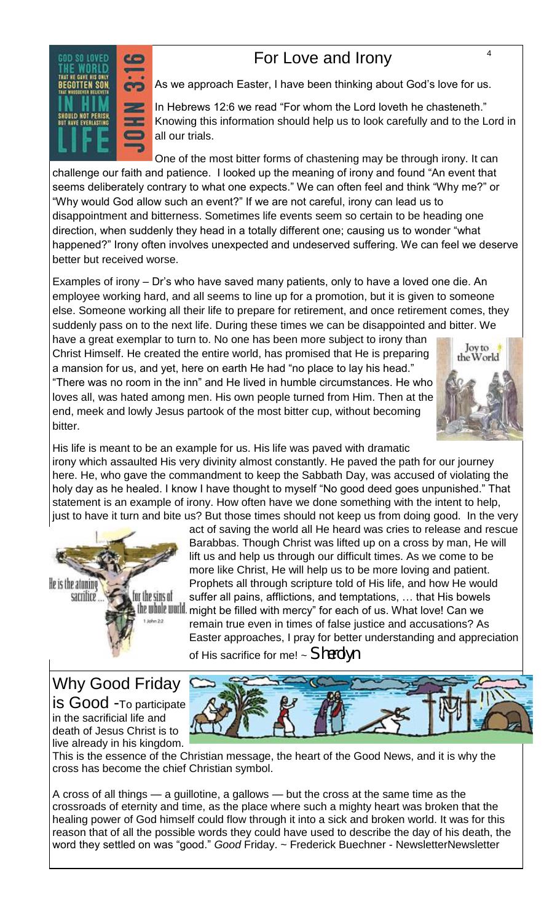## For Love and Irony  $4\overline{4}$



As we approach Easter, I have been thinking about God's love for us.

In Hebrews 12:6 we read "For whom the Lord loveth he chasteneth." Knowing this information should help us to look carefully and to the Lord in all our trials.

One of the most bitter forms of chastening may be through irony. It can challenge our faith and patience. I looked up the meaning of irony and found "An event that seems deliberately contrary to what one expects." We can often feel and think "Why me?" or "Why would God allow such an event?" If we are not careful, irony can lead us to disappointment and bitterness. Sometimes life events seem so certain to be heading one direction, when suddenly they head in a totally different one; causing us to wonder "what happened?" Irony often involves unexpected and undeserved suffering. We can feel we deserve better but received worse.

Examples of irony – Dr's who have saved many patients, only to have a loved one die. An employee working hard, and all seems to line up for a promotion, but it is given to someone else. Someone working all their life to prepare for retirement, and once retirement comes, they suddenly pass on to the next life. During these times we can be disappointed and bitter. We

have a great exemplar to turn to. No one has been more subject to irony than Christ Himself. He created the entire world, has promised that He is preparing a mansion for us, and yet, here on earth He had "no place to lay his head." "There was no room in the inn" and He lived in humble circumstances. He who loves all, was hated among men. His own people turned from Him. Then at the end, meek and lowly Jesus partook of the most bitter cup, without becoming bitter.



His life is meant to be an example for us. His life was paved with dramatic irony which assaulted His very divinity almost constantly. He paved the path for our journey here. He, who gave the commandment to keep the Sabbath Day, was accused of violating the holy day as he healed. I know I have thought to myself "No good deed goes unpunished." That statement is an example of irony. How often have we done something with the intent to help, just to have it turn and bite us? But those times should not keep us from doing good. In the very



act of saving the world all He heard was cries to release and rescue Barabbas. Though Christ was lifted up on a cross by man, He will lift us and help us through our difficult times. As we come to be more like Christ, He will help us to be more loving and patient. Prophets all through scripture told of His life, and how He would suffer all pains, afflictions, and temptations, … that His bowels th whill will might be filled with mercy" for each of us. What love! Can we remain true even in times of false justice and accusations? As Easter approaches, I pray for better understanding and appreciation of His sacrifice for me! ~ *Sherolyn* 

Why Good Friday is Good -To participate in the sacrificial life and death of Jesus Christ is to live already in his kingdom.



This is the essence of the Christian message, the heart of the Good News, and it is why the cross has become the chief Christian symbol.

A cross of all things — a guillotine, a gallows — but the cross at the same time as the crossroads of eternity and time, as the place where such a mighty heart was broken that the healing power of God himself could flow through it into a sick and broken world. It was for this reason that of all the possible words they could have used to describe the day of his death, the word they settled on was "good." *Good* Friday. ~ Frederick Buechner - NewsletterNewsletter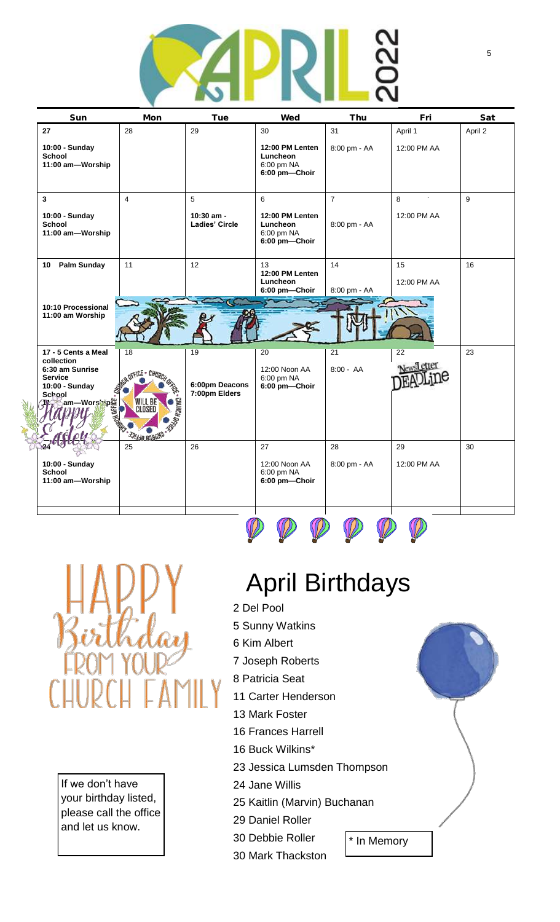

| Sun                                                                                                                                         | Mon                                                                                   | Tue                                   | Wed                                                        | Thu                | Fri                     | Sat     |
|---------------------------------------------------------------------------------------------------------------------------------------------|---------------------------------------------------------------------------------------|---------------------------------------|------------------------------------------------------------|--------------------|-------------------------|---------|
| 27                                                                                                                                          | 28                                                                                    | 29                                    | 30                                                         | 31                 | April 1                 | April 2 |
| 10:00 - Sunday<br><b>School</b><br>11:00 am-Worship                                                                                         |                                                                                       |                                       | 12:00 PM Lenten<br>Luncheon<br>6:00 pm NA<br>6:00 pm-Choir | 8:00 pm - AA       | 12:00 PM AA             |         |
| $\mathbf{3}$                                                                                                                                | $\overline{4}$                                                                        | 5                                     | 6                                                          | $\overline{7}$     | $\blacksquare$<br>8     | 9       |
| 10:00 - Sunday<br><b>School</b><br>11:00 am-Worship                                                                                         |                                                                                       | 10:30 am -<br><b>Ladies' Circle</b>   | 12:00 PM Lenten<br>Luncheon<br>6:00 pm NA<br>6:00 pm-Choir | 8:00 pm - AA       | 12:00 PM AA             |         |
| Palm Sunday<br>10                                                                                                                           | 11                                                                                    | 12                                    | 13<br>12:00 PM Lenten<br>Luncheon<br>6:00 pm-Choir         | 14<br>8:00 pm - AA | 15<br>12:00 PM AA       | 16      |
| 10:10 Processional<br>11:00 am Worship                                                                                                      |                                                                                       |                                       |                                                            |                    |                         |         |
| 17 - 5 Cents a Meal<br>collection<br>6:30 am Sunrise<br><b>Service</b><br>10:00 - Sunday<br>School<br>pi<br>am—Worshipan<br><i> HIVY</i> am | 18<br>CH OFFICE .<br>CHURCH <sub>I</sub><br>WILL BE<br>CLOSED<br><b>CHURCH OFFICE</b> | 19<br>6:00pm Deacons<br>7:00pm Elders | 20<br>12:00 Noon AA<br>6:00 pm NA<br>6:00 pm-Choir         | 21<br>$8:00 - AA$  | 22<br><b>Newsletter</b> | 23      |
| 10:00 - Sunday<br><b>School</b><br>11:00 am-Worship                                                                                         | 25                                                                                    | 26                                    | 27<br>12:00 Noon AA<br>6:00 pm NA<br>6:00 pm-Choir         | 28<br>8:00 pm - AA | 29<br>12:00 PM AA       | 30      |
|                                                                                                                                             |                                                                                       |                                       |                                                            |                    |                         |         |

HAB<br>Zvitki

If we don't have your birthday listed, please call the office and let us know.

# April Birthdays

- 2 Del Pool
- 5 Sunny Watkins
- 6 Kim Albert
- 7 Joseph Roberts
- 8 Patricia Seat
- 11 Carter Henderson
- 13 Mark Foster
- 16 Frances Harrell
- 16 Buck Wilkins\*
- 23 Jessica Lumsden Thompson
- 24 Jane Willis
- 25 Kaitlin (Marvin) Buchanan
- 29 Daniel Roller
- 30 Debbie Roller
- 30 Mark Thackston
- \* In Memory